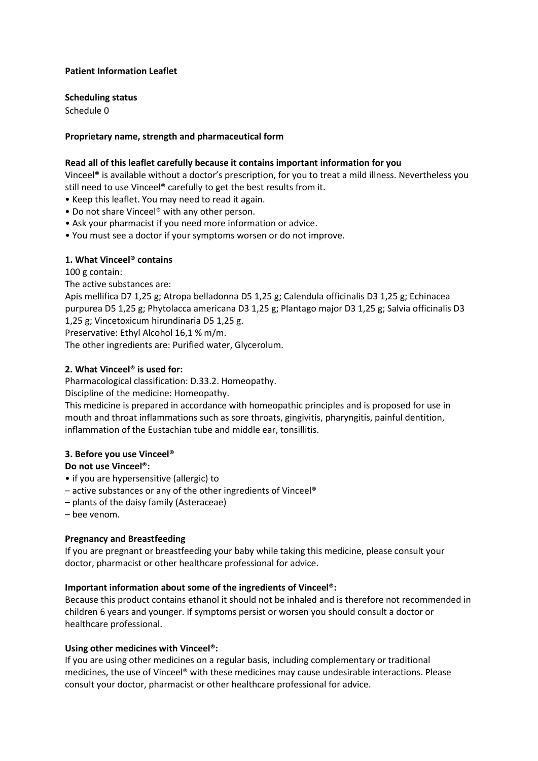### **Patient Information Leaflet**

**Scheduling status**

Schedule 0

## **Proprietary name, strength and pharmaceutical form**

### **Read all of this leaflet carefully because it contains important information for you**

Vinceel® is available without a doctor's prescription, for you to treat a mild illness. Nevertheless you still need to use Vinceel® carefully to get the best results from it.

- Keep this leaflet. You may need to read it again.
- Do not share Vinceel® with any other person.
- Ask your pharmacist if you need more information or advice.
- You must see a doctor if your symptoms worsen or do not improve.

### **1. What Vinceel® contains**

100 g contain:

The active substances are:

Apis mellifica D7 1,25 g; Atropa belladonna D5 1,25 g; Calendula officinalis D3 1,25 g; Echinacea purpurea D5 1,25 g; Phytolacca americana D3 1,25 g; Plantago major D3 1,25 g; Salvia officinalis D3 1,25 g; Vincetoxicum hirundinaria D5 1,25 g.

Preservative: Ethyl Alcohol 16,1 % m/m.

The other ingredients are: Purified water, Glycerolum.

### **2. What Vinceel® is used for:**

Pharmacological classification: D.33.2. Homeopathy.

Discipline of the medicine: Homeopathy.

This medicine is prepared in accordance with homeopathic principles and is proposed for use in mouth and throat inflammations such as sore throats, gingivitis, pharyngitis, painful dentition, inflammation of the Eustachian tube and middle ear, tonsillitis.

### **3. Before you use Vinceel®**

### **Do not use Vinceel®:**

- if you are hypersensitive (allergic) to
- active substances or any of the other ingredients of Vinceel®
- plants of the daisy family (Asteraceae)
- bee venom.

### **Pregnancy and Breastfeeding**

If you are pregnant or breastfeeding your baby while taking this medicine, please consult your doctor, pharmacist or other healthcare professional for advice.

### **Important information about some of the ingredients of Vinceel®:**

Because this product contains ethanol it should not be inhaled and is therefore not recommended in children 6 years and younger. If symptoms persist or worsen you should consult a doctor or healthcare professional.

### **Using other medicines with Vinceel®:**

If you are using other medicines on a regular basis, including complementary or traditional medicines, the use of Vinceel® with these medicines may cause undesirable interactions. Please consult your doctor, pharmacist or other healthcare professional for advice.